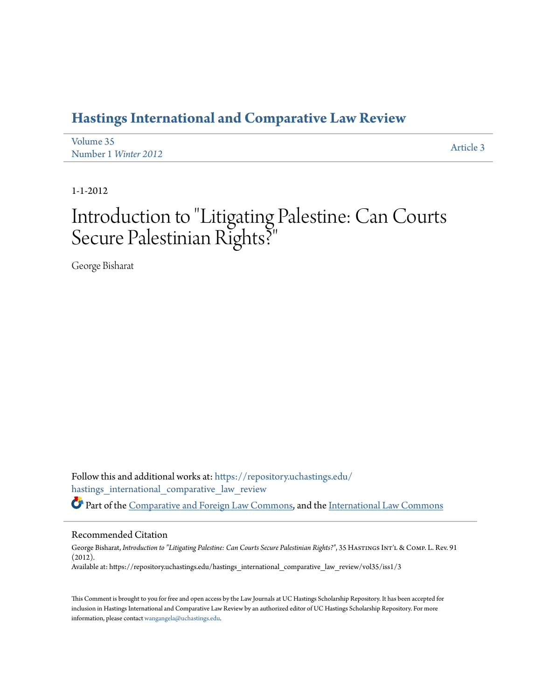## **[Hastings International and Comparative Law Review](https://repository.uchastings.edu/hastings_international_comparative_law_review?utm_source=repository.uchastings.edu%2Fhastings_international_comparative_law_review%2Fvol35%2Fiss1%2F3&utm_medium=PDF&utm_campaign=PDFCoverPages)**

| Volume 35            | Article 3 |
|----------------------|-----------|
| Number 1 Winter 2012 |           |

1-1-2012

## Introduction to "Litigating Palestine: Can Courts Secure Palestinian Rights?"

George Bisharat

Follow this and additional works at: [https://repository.uchastings.edu/](https://repository.uchastings.edu/hastings_international_comparative_law_review?utm_source=repository.uchastings.edu%2Fhastings_international_comparative_law_review%2Fvol35%2Fiss1%2F3&utm_medium=PDF&utm_campaign=PDFCoverPages) [hastings\\_international\\_comparative\\_law\\_review](https://repository.uchastings.edu/hastings_international_comparative_law_review?utm_source=repository.uchastings.edu%2Fhastings_international_comparative_law_review%2Fvol35%2Fiss1%2F3&utm_medium=PDF&utm_campaign=PDFCoverPages) Part of the [Comparative and Foreign Law Commons](http://network.bepress.com/hgg/discipline/836?utm_source=repository.uchastings.edu%2Fhastings_international_comparative_law_review%2Fvol35%2Fiss1%2F3&utm_medium=PDF&utm_campaign=PDFCoverPages), and the [International Law Commons](http://network.bepress.com/hgg/discipline/609?utm_source=repository.uchastings.edu%2Fhastings_international_comparative_law_review%2Fvol35%2Fiss1%2F3&utm_medium=PDF&utm_campaign=PDFCoverPages)

## Recommended Citation

George Bisharat, *Introduction to "Litigating Palestine: Can Courts Secure Palestinian Rights?"*, 35 HASTINGS INT'L & COMP. L. Rev. 91 (2012). Available at: https://repository.uchastings.edu/hastings\_international\_comparative\_law\_review/vol35/iss1/3

This Comment is brought to you for free and open access by the Law Journals at UC Hastings Scholarship Repository. It has been accepted for inclusion in Hastings International and Comparative Law Review by an authorized editor of UC Hastings Scholarship Repository. For more information, please contact [wangangela@uchastings.edu](mailto:wangangela@uchastings.edu).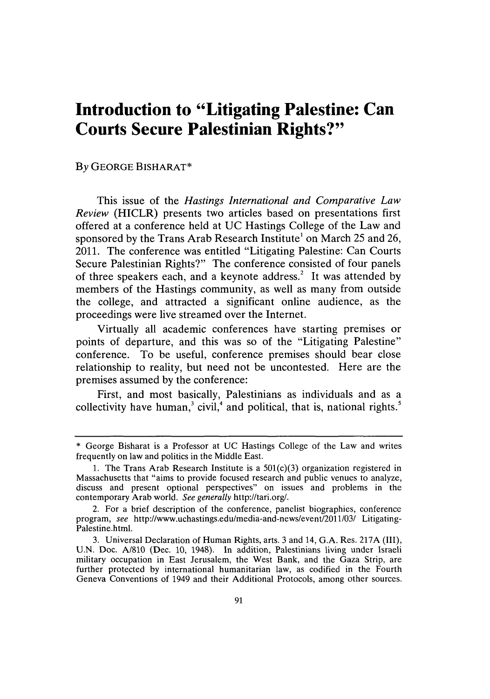## **Introduction to "Litigating Palestine: Can Courts Secure Palestinian Rights?"**

**By GEORGE BISHARAT\***

This issue of the *Hastings International and Comparative Law Review* (HICLR) presents two articles based on presentations first offered at a conference held at **UC** Hastings College of the Law and sponsored **by** the Trans Arab Research Institute' on March *25* and **26,** 2011. The conference was entitled "Litigating Palestine: Can Courts Secure Palestinian Rights?" The conference consisted of four panels of three speakers each, and a keynote address.2 It was attended **by** members of the Hastings community, as well as many from outside the college, and attracted a significant online audience, as the proceedings were live streamed over the Internet.

Virtually all academic conferences have starting premises or points of departure, and this was so of the "Litigating Palestine" conference. To be useful, conference premises should bear close relationship to reality, but need not be uncontested. Here are the premises assumed **by** the conference:

First, and most basically, Palestinians as individuals and as a collectivity have human,<sup>3</sup> civil,<sup>4</sup> and political, that is, national rights.<sup>5</sup>

**<sup>\*</sup>** George Bisharat is a Professor at **UC** Hastings College of the Law and writes frequently on law and politics in the Middle East.

**<sup>1.</sup>** The Trans Arab Research Institute is a 501(c)(3) organization registered in Massachusetts that "aims to provide focused research and public venues to analyze, discuss and present optional perspectives" on issues and problems in the contemporary Arab world. *See generally* http://tari.org/.

<sup>2.</sup> For a brief description of the conference, panelist biographies, conference program, *see* http://www.uchastings.edu/media-and-news/event/2011/03/ Litigating-Palestine.html.

**<sup>3.</sup>** Universal Declaration of Human Rights, arts. **3** and 14, **G.A.** Res. **217A (III), U.N.** Doc. **A/810** (Dec. **10,** 1948). In addition, Palestinians living under Israeli military occupation in East Jerusalem, the West Bank, and the Gaza Strip, are further protected **by** international humanitarian law, as codified in the Fourth Geneva Conventions of 1949 and their Additional Protocols, among other sources.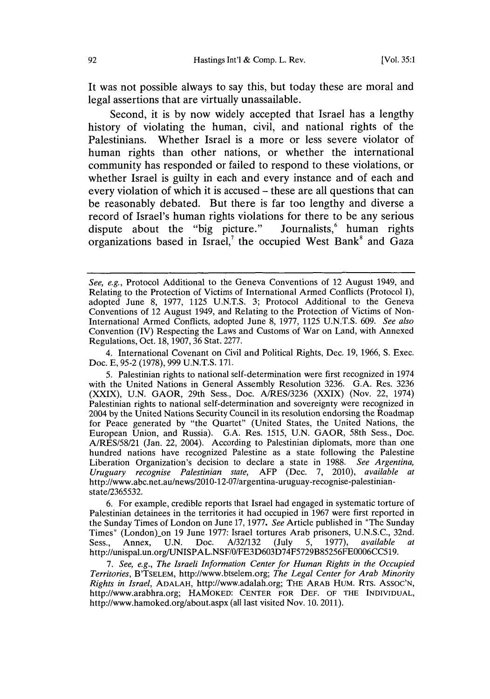It was not possible always to say this, but today these are moral and legal assertions that are virtually unassailable.

Second, it is **by** now widely accepted that Israel has a lengthy history of violating the human, civil, and national rights of the Palestinians. Whether Israel is a more or less severe violator of human rights than other nations, or whether the international community has responded or failed to respond to these violations, or whether Israel is guilty in each and every instance and of each and every violation of which it is accused **-** these are all questions that can be reasonably debated. But there is far too lengthy and diverse a record of Israel's human rights violations for there to be any serious dispute about the "big picture." Journalists, human rights organizations based in Israel,' the occupied West Bank' and Gaza

4. International Covenant on Civil and Political Rights, Dec. **19, 1966, S.** Exec. Doc. **E, 95-2 (1978), 999 U.N.T.S. 171.**

**6.** For example, credible reports that Israel had engaged in systematic torture **of** Palestinian detainees in the territories it had occupied in **1967** were first reported in the Sunday Times of London on June **17, 1977.** *See* Article published in "The Sunday Times" (London)\_on **19** June **1977:** Israel tortures Arab prisoners, **U.N.S.C.,** 32nd. Sess., Annex, **U.N.** Doc. **A/32/132** (July **5, 1977),** *available at* http://unispal.un.org/UNISPAL.NSF/0/FE3D603D74F5729B85256FE0006CC519.

*7. See, e.g., The Israeli Information Center for Human Rights in the Occupied Territories,* B'TSELEM, http://www.btselem.org; *The Legal Center for Arab Minority Rights in Israel,* **ADALAH,** http://www.adalah.org; THE ARAB HUM. RTs. **ASSOC'N,** http://www.arabhra.org; HAMOKED: **CENTER** FOR **DEF.** OF THE **INDIVIDUAL,** http://www.hamoked.org/about.aspx (all last visited Nov. **10.** 2011).

*See, e.g.,* Protocol Additional to the Geneva Conventions of 12 August 1949, and Relating to the Protection of Victims of International Armed Conflicts (Protocol **I),** adopted June **8, 1977, 1125 U.N.T.S. 3;** Protocol Additional to the Geneva Conventions of 12 August 1949, and Relating to the Protection **of** Victims of Non-International Armed Conflicts, adopted June **8, 1977, 1125 U.N.T.S. 609.** *See also* Convention (IV) Respecting the Laws and Customs of War on Land, with Annexed Regulations, Oct. **18, 1907, 36** Stat. **2277.**

**<sup>5.</sup>** Palestinian rights to national self-determination were first recognized in 1974 with the United Nations in General Assembly Resolution **3236. G.A.** Res. **3236** (XXIX), **U.N.** GAOR, 29th Sess., Doc. **A/RES/3236** (XXIX) (Nov. 22, 1974) Palestinian rights to national self-determination and sovereignty were recognized in 2004 **by** the United Nations Security Council in its resolution endorsing the Roadmap for Peace generated **by** "the Quartet" (United States, the United Nations, the European Union, and Russia). **G.A.** Res. **1515, U.N.** GAOR, 58th Sess., Doc. **A/RES/58/21** (Jan. 22, 2004). According to Palestinian diplomats, more than one hundred nations have recognized Palestine as a state following the Palestine Liberation Organization's decision to declare a state in **1988.** *See Argentina, Uruguary recognise Palestinian state,* AFP (Dec. **7,** 2010), *available at* http://www.abc.net.au/news/2010-12-07/argentina-uruguay-recognise-palestinianstate/2365532.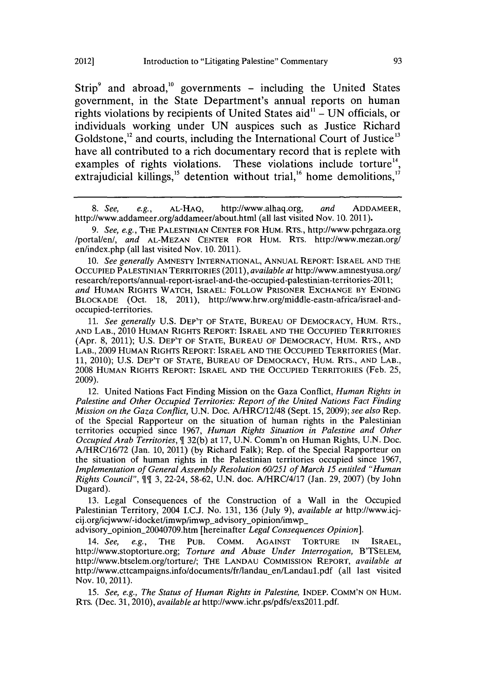Strip<sup>9</sup> and abroad,<sup>10</sup> governments - including the United States government, in the State Department's annual reports on human rights violations **by** recipients of United States aid" **- UN** officials, or individuals working under **UN** auspices such as Justice Richard Goldstone, $^{12}$  and courts, including the International Court of Justice $^{13}$ have all contributed to a rich documentary record that is replete with examples of rights violations. These violations include torture<sup>14</sup>, extrajudicial killings,<sup>15</sup> detention without trial,<sup>16</sup> home demolitions,<sup>17</sup>

*8.* See, e.g., **AL-HAG,** http://www.alhaq.org, *and* ADDAMEER, http://www.addameer.org/addameer/about.html (all last visited Nov. **10.** 2011).

*9. See, e.g.,* THE **PALESTINIAN CENTER** FOR HUM. RTS., http://www.pchrgaza.org /portal/en/, *and* **AL-MEZAN CENTER** FOR HUM. RTs. http://www.mezan.org/ en/index.php (all last visited Nov. **10.** 2011).

*10. See generally* **AMNESTY** INTERNATIONAL, **ANNUAL** REPORT: ISRAEL **AND THE** OCCUPIED PALESTINIAN TERRITORIES (2011), *available at* http://www.amnestyusa.org/ research/reports/annual-report-israel-and-the-occupied-palestinian-territories-2011; *and* **HUMAN** RIGHTS WATCH, ISRAEL: FOLLOW PRISONER **EXCHANGE** BY **ENDING** BLOCKADE (Oct. **18,** 2011), http://www.hrw.org/middle-eastn-africa/israel-andoccupied-territories.

*11. See generally* **U.S.** DEP'T OF **STATE, BUREAU** OF DEMOCRACY, HUM. RTS., **AND LAB.,** 2010 **HUMAN RIGHTS REPORT: ISRAEL AND THE OCCUPIED TERRITORIES** (Apr. **8,** 2011); **U.S.** DEP'T OF **STATE, BUREAU** OF DEMOCRACY, HUM. RTS., **AND** LAB., **2009 HUMAN RIGHTS REPORT: ISRAEL AND THE OCCUPIED TERRITORIES** (Mar. **11,** 2010); **U.S.** DEP'T OF **STATE, BUREAU** OF DEMOCRACY, HUM. RTS., **AND** LAB., **2008 HUMAN** RIGHTS REPORT: ISRAEL **AND** THE OCCUPIED **TERRITORIES** (Feb. **25, 2009).**

12. United Nations Fact Finding Mission on the Gaza Conflict, *Human Rights in Palestine and Other Occupied Territories: Report of the United Nations Fact Finding Mission on the Gaza Conflict,* **U.N.** Doc. A/HRC/12/48 (Sept. **15, 2009);** *see also* Rep. of the Special Rapporteur on the situation of human rights in the Palestinian territories occupied since **1967,** *Human Rights Situation in Palestine and Other Occupied Arab Territories, \$* **32(b)** at **17, U.N.** Comm'n on Human Rights, **U.N.** Doc. **A/HRC/16/72** (Jan. **10,** 2011) **(by** Richard Falk); Rep. of the Special Rapporteur on the situation of human rights in the Palestinian territories occupied since **1967,** *Implementation of General Assembly Resolution 60/251 of March 15 entitled "Human Rights Council", \$[* **3,** 22-24, **58-62, U.N.** doc. A/HRC/4/17 (Jan. **29, 2007) (by** John Dugard).

**13.** Legal Consequences of the Construction of a Wall in the Occupied Palestinian Territory, 2004 **I.C.J.** No. **131, 136** (July **9),** *available at* http://www.icjcij.org/icjwww/-idocket/imwp/imwp\_advisory\_opinion/imwp\_

advisory-opinion\_20040709.htm [hereinafter *Legal Consequences Opinion].*

*14. See, e.g.,* THE **PUB.** COMM. **AGAINST** TORTURE **IN** ISRAEL, http://www.stoptorture.org; *Torture and Abuse Under Interrogation,* B'TSELEM, http://www.btselem.org/torture/; THE **LANDAU** COMMISSION REPORT, *available at* http://www.cttcampaigns.info/documents/fr/landau en/Landaul.pdf (all last visited Nov. **10,** 2011).

*15. See, e.g., The Status of Human Rights in Palestine,* **INDEP. COMM'N ON** HuM. RTS. (Dec. **31,** 2010), *available at* http://www.ichr.ps/pdfs/exs2011.pdf.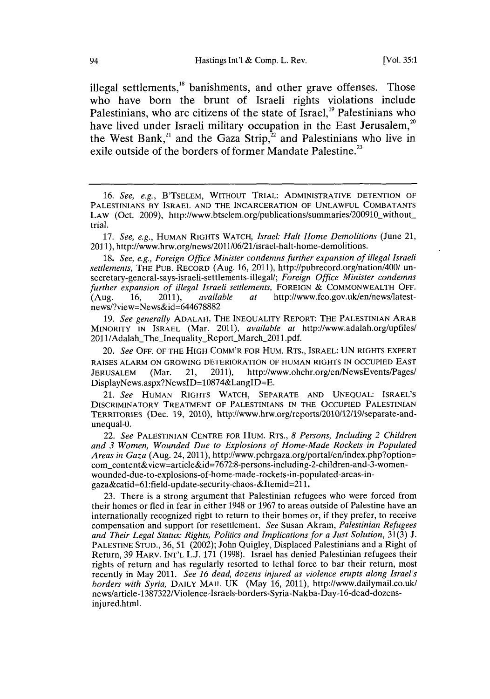illegal settlements,<sup>18</sup> banishments, and other grave offenses. Those who have born the brunt of Israeli rights violations include Palestinians, who are citizens of the state of Israel,<sup>19</sup> Palestinians who have lived under Israeli military occupation in the East Jerusalem, $20$ the West Bank,<sup>21</sup> and the Gaza Strip,<sup>22</sup> and Palestinians who live in exile outside of the borders of former Mandate Palestine.<sup>23</sup>

*17. See, e.g.,* HUMAN RIGHTS WATCH, *Israel: Halt Home Demolitions* (June 21, 2011), http://www.hrw.org/news/2011/06/21/israel-halt-home-demolitions.

*18. See, e.g., Foreign Office Minister condemns further expansion of illegal Israeli settlements,* THE **PUB.** RECORD (Aug. **16,** 2011), http://pubrecord.org/nation/400/ unsecretary-general-says-israeli-settlements-illegal/; *Foreign Office Minister condemns further expansion of illegal Israeli settlements, FOREIGN & COMMONWEALTH OFF.* (Aug. 16, 2011), *available at* http://www.fco.gov.uk/en/news/latest-(Aug. **16,** 2011), *available at* http://www.fco.gov.uk/en/news/latestnews/?view=News&id=644678882

*19. See generally* **ADALAH,** THE **INEQUALITY** REPORT: THE PALESTINIAN ARAB MINORITY **IN** ISRAEL (Mar. 2011), *available at* http://www.adalah.org/upfiles/ 2011/Adalah\_The\_Inequality\_Report\_March\_2011.pdf.

*20. See* OFF. OF THE HIGH COMM'R FOR HUM. RTS., ISRAEL: **UN** RIGHTS EXPERT **RAISES** ALARM **ON** GROWING DETERIORATION OF **HUMAN** RIGHTS **IN** OCCUPIED **EAST JERUSALEM** (Mar. 21, 2011), http://www.ohchr.org/en/NewsEvents/Pages/ DisplayNews.aspx?NewsID=10874&LangID=E.

*21. See* **HUMAN** RIGHTS WATCH, SEPARATE **AND UNEQUAL: ISRAEL'S** DISCRIMINATORY TREATMENT OF **PALESTINIANS** IN THE **OCCUPIED** PALESTINIAN TERRITORIES (Dec. **19,** 2010), http://www.hrw.org/reports/2010/12/19/separate-andunequal-0.

*22. See* **PALESTINIAN CENTRE** FOR HUM. RTS., *8 Persons, Including 2 Children and 3 Women, Wounded Due to Explosions of Home-Made Rockets in Populated Areas in Gaza* (Aug. 24, 2011), http://www.pchrgaza.org/portal/en/index.php?option= comcontent&view=article&id=7672:8-persons-including-2-children-and-3-womenwounded-due-to-explosions-of-home-made-rockets-in-populated-areas-ingaza&catid=61:field-update-security-chaos-&Itemid=211.

**23.** There is a strong argument that Palestinian refugees who were forced from their homes or fled in fear in either 1948 or **1967** to areas outside of Palestine have an internationally recognized right to return to their homes or, if they prefer, to receive compensation and support for resettlement. *See* Susan Akram, *Palestinian Refugees and Their Legal Status: Rights, Politics and Implications for a Just Solution,* **31(3) J. PALESTINE STUD., 36, 51** (2002); John Quigley, Displaced Palestinians and a Right of Return, **39** HARV. **INT'L L.J. 171 (1998).** Israel has denied Palestinian refugees their rights of return and has regularly resorted to lethal force to bar their return, most recently in May 2011. *See 16 dead, dozens injured as violence erupts along Israel's borders with Syria,* DAILY MAIL **UK** (May **16,** 2011), http://www.dailymail.co.uk/ news/article-1387322/Violence-Israels-borders-Syria-Nakba-Day-16-dead-dozensinjured.html.

*<sup>16.</sup> See, e.g.,* B'TSELEM, WITHOUT TRIAL: ADMINISTRATIVE **DETENTION** OF **PALESTINIANS** BY ISRAEL **AND** THE **INCARCERATION** OF **UNLAWFUL COMBATANTS** LAW (Oct. 2009), http://www.btselem.org/publications/summaries/200910\_without\_ trial.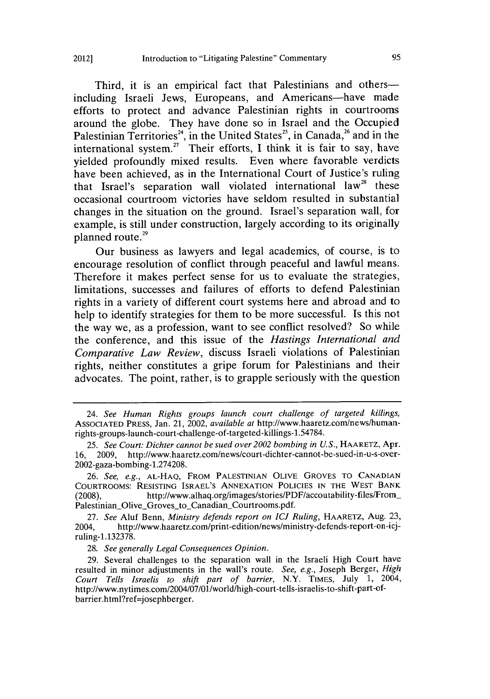Third, it is an empirical fact that Palestinians and othersincluding Israeli Jews, Europeans, and Americans—have made efforts to protect and advance Palestinian rights in courtrooms around the globe. They have done so in Israel and the Occupied Palestinian Territories<sup>24</sup>, in the United States<sup>25</sup>, in Canada,<sup>26</sup> and in the international system.27 Their efforts, **I** think it is fair to say, have yielded profoundly mixed results. Even where favorable verdicts have been achieved, as in the International Court of Justice's ruling that Israel's separation wall violated international law<sup>28</sup> these occasional courtroom victories have seldom resulted in substantial changes in the situation on the ground. Israel's separation wall, for example, is still under construction, largely according to its originally planned route.<sup>29</sup>

Our business as lawyers and legal academics, of course, is to encourage resolution of conflict through peaceful and lawful means. Therefore it makes perfect sense for us to evaluate the strategies, limitations, successes and failures of efforts to defend Palestinian rights in a variety of different court systems here and abroad and to help to identify strategies for them to be more successful. Is this not the way we, as a profession, want to see conflict resolved? So while the conference, and this issue of the *Hastings International and Comparative Law Review,* discuss Israeli violations of Palestinian rights, neither constitutes a gripe forum for Palestinians and their advocates. The point, rather, is to grapple seriously with the question

**27.** *See* Aluf Benn, *Ministry defends report on ICJ Ruling,* HAARETZ, Aug. **23,** 2004, http://www.haaretz.com/print-edition/news/ministry-defends-report-on-icjruling-1.132378.

**28.** *See generally Legal Consequences Opinion.*

**29.** Several challenges to the separation wall in the Israeli High Court have resulted in minor adjustments in the wall's route. *See, e.g.,* Joseph Berger, *High Court Tells Israelis to shift part of barrier,* N.Y. TIMES, July **1,** 2004, http://www.nytimes.com/2004/07/01/world/high-court-tells-israelis-to-shift-part-ofbarrier.html?ref=josephberger.

*<sup>24.</sup> See Human Rights groups launch court challenge of targeted killings,* ASSOCIATED PRESS, Jan. 21, 2002, *available at* http://www.haaretz.com/news/humarnrights-groups-launch-court-challenge-of-targeted-killings-1.54784.

*<sup>25.</sup> See Court: Dichter cannot be sued over 2002 bombing in U.S.,* HAARETZ, Apr. **16, 2009,** http://www.haaretz.com/news/court-dichter-cannot-be-sued-in-u-s-over-2002-gaza-bombing-1.274208.

**<sup>26.</sup>** *See, e.g.,* **AL-HAQ,** FROM **PALESTINIAN** OLIVE GROVES **TO CANADIAN** COURTROOMS: **RESISTING** ISRAEL'S **ANNEXATION POLICIES IN** THE WEST BANK **(2008),** http://www.alhaq.org/images/stories/PDF/accoutability-files/From Palestinian\_Olive\_Groves\_to\_Canadian\_Courtrooms.pdf.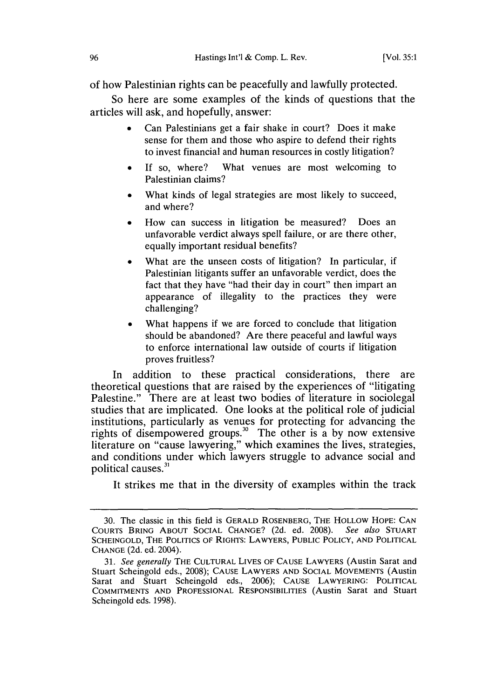of how Palestinian rights can be peacefully and lawfully protected.

So here are some examples of the kinds of questions that the articles will ask, and hopefully, answer:

- Can Palestinians get a fair shake in court? Does it make sense for them and those who aspire to defend their rights to invest financial and human resources in costly litigation?
- If so, where? What venues are most welcoming to Palestinian claims?
- What kinds of legal strategies are most likely to succeed, and where?
- How can success in litigation be measured? Does an unfavorable verdict always spell failure, or are there other, equally important residual benefits?
- What are the unseen costs of litigation? In particular, if Palestinian litigants suffer an unfavorable verdict, does the fact that they have "had their day in court" then impart an appearance of illegality to the practices they were challenging?
- What happens if we are forced to conclude that litigation should be abandoned? Are there peaceful and lawful ways to enforce international law outside of courts if litigation proves fruitless?

In addition to these practical considerations, there are theoretical questions that are raised **by** the experiences of "litigating Palestine." There are at least two bodies of literature in sociolegal studies that are implicated. One looks at the political role of judicial institutions, particularly as venues for protecting for advancing the rights of disempowered groups.30 The other is a **by** now extensive literature on "cause lawyering," which examines the lives, strategies, and conditions under which lawyers struggle to advance social and political causes.<sup>31</sup>

It strikes me that in the diversity of examples within the track

**<sup>30.</sup>** The classic in this field is GERALD ROSENBERG, THE HOLLOW HOPE: **CAN** COURTS BRING **ABOUT SOCIAL CHANGE? (2d.** ed. **2008).** *See also* **STUART SCHEINGOLD,** THE **POLITICS** OF RIGHTS: LAWYERS, PUBLIC POLICY, **AND** POLITICAL **CHANGE (2d.** ed. 2004).

*<sup>31.</sup> See generally* THE **CULTURAL** LIVES OF **CAUSE** LAWYERS (Austin Sarat and Stuart Scheingold eds., **2008); CAUSE** LAWYERS **AND SOCIAL** MOVEMENTS (Austin Sarat and Stuart Scheingold eds., **2006); CAUSE** LAWYERING: POLITICAL **COMMITMENTS AND PROFESSIONAL** RESPONSIBILITIES (Austin Sarat and Stuart Scheingold eds. **1998).**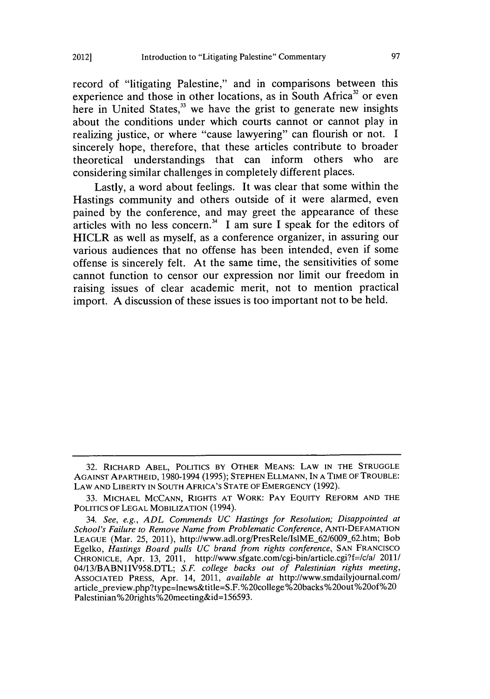record of "litigating Palestine," and in comparisons between this experience and those in other locations, as in South Africa<sup>32</sup> or even here in United States,<sup>33</sup> we have the grist to generate new insights about the conditions under which courts cannot or cannot play in realizing justice, or where "cause lawyering" can flourish or not. **I** sincerely hope, therefore, that these articles contribute to broader theoretical understandings that can inform others who are considering similar challenges in completely different places.

Lastly, a word about feelings. It was clear that some within the Hastings community and others outside of it were alarmed, even pained **by** the conference, and may greet the appearance of these articles with no less concern.<sup>34</sup> I am sure I speak for the editors of HICLR as well as myself, as a conference organizer, in assuring our various audiences that no offense has been intended, even if some offense is sincerely felt. At the same time, the sensitivities of some cannot function to censor our expression nor limit our freedom in raising issues of clear academic merit, not to mention practical import. **A** discussion of these issues is too important not to be held.

**<sup>32.</sup> RICHARD ABEL, POLITICS BY OTHER MEANS: LAW IN THE STRUGGLE AGAINST APARTHEID, 1980-1994 (1995); STEPHEN ELLMANN, IN A TIME OF TROUBLE: LAW AND LIBERTY IN SOUTH AFRICA'S STATE OF EMERGENCY (1992).**

**<sup>33.</sup> MICHAEL MCCANN, RIGHTS AT WORK: PAY EQUITY REFORM AND THE POLITICS OF LEGAL MOBILIZATION** (1994).

*<sup>34.</sup> See, e.g., ADL Commends UC Hastings for Resolution; Disappointed at School's Failure to Remove Name from Problematic Conference,* **ANTI-DEFAMATION** LEAGUE (Mar. 25, 2011), http://www.adl.org/PresRele/IslME\_62/6009\_62.htm; Bob Egelko, *Hastings Board pulls UC brand from rights conference,* **SAN FRANCISCO CHRONICLE,** Apr. **13,** 2011, http://www.sfgate.com/cgi-bin/article.cgi?f=/c/a/ 2011/ 04/13/BABN1IV958.DTL; *S.F. college backs out of Palestinian rights meeting,* **ASSOCIATED PRESS,** Apr. 14, 2011, *available at* http://www.smdailyjournal.com/ article-preview.php?type=lnews&title=S.F.%20college%20backs%20out%200f%20 Palestinian%20rights%20meeting&id=156593.